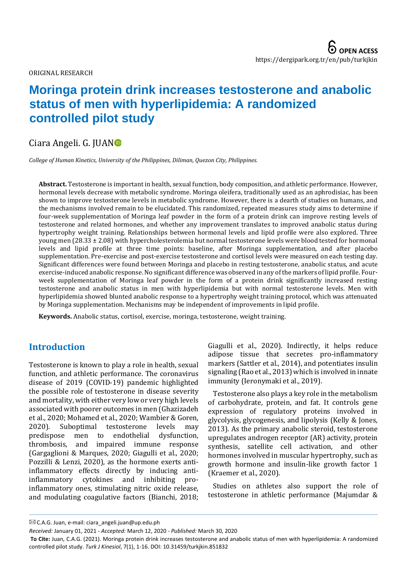ORIGINAL RESEARCH

# **Moringa protein drink increases testosterone and anabolic status of men with hyperlipidemia: A randomized controlled pilot study**

# Ciara Angeli. G. JUA[N](https://orcid.org/0000-0001-5308-7021)

*College of Human Kinetics, University of the Philippines, Diliman, Quezon City, Philippines.*

**Abstract.** Testosterone is important in health, sexual function, body composition, and athletic performance. However, hormonal levels decrease with metabolic syndrome. Moringa oleifera, traditionally used as an aphrodisiac, has been shown to improve testosterone levels in metabolic syndrome. However, there is a dearth of studies on humans, and the mechanisms involved remain to be elucidated. This randomized, repeated measures study aims to determine if four-week supplementation of Moringa leaf powder in the form of a protein drink can improve resting levels of testosterone and related hormones, and whether any improvement translates to improved anabolic status during hypertrophy weight training. Relationships between hormonal levels and lipid profile were also explored. Three young men (28.33 ± 2.08) with hypercholesterolemia but normal testosterone levels were blood tested for hormonal levels and lipid profile at three time points: baseline, after Moringa supplementation, and after placebo supplementation. Pre-exercise and post-exercise testosterone and cortisol levels were measured on each testing day. Significant differences were found between Moringa and placebo in resting testosterone, anabolic status, and acute exercise-induced anabolic response. No significant difference was observed in any of the markers of lipid profile. Fourweek supplementation of Moringa leaf powder in the form of a protein drink significantly increased resting testosterone and anabolic status in men with hyperlipidemia but with normal testosterone levels. Men with hyperlipidemia showed blunted anabolic response to a hypertrophy weight training protocol, which was attenuated by Moringa supplementation. Mechanisms may be independent of improvements in lipid profile.

**Keywords.** Anabolic status, cortisol, exercise, moringa, testosterone, weight training.

# **Introduction**

Testosterone is known to play a role in health, sexual function, and athletic performance. The coronavirus disease of 2019 (COVID-19) pandemic highlighted the possible role of testosterone in disease severity and mortality, with either very low or very high levels associated with poorer outcomes in men (Ghazizadeh et al., 2020; Mohamed et al., 2020; Wambier & Goren, 2020). Suboptimal testosterone levels may predispose men to endothelial dysfunction, thrombosis, and impaired immune response (Gargaglioni & Marques, 2020; Giagulli et al., 2020; Pozzilli & Lenzi, 2020), as the hormone exerts antiinflammatory effects directly by inducing antiinflammatory cytokines and inhibiting proinflammatory ones, stimulating nitric oxide release, and modulating coagulative factors (Bianchi, 2018;

Giagulli et al., 2020). Indirectly, it helps reduce adipose tissue that secretes pro-inflammatory markers (Sattler et al., 2014), and potentiates insulin signaling (Rao et al., 2013) which is involved in innate immunity (Ieronymaki et al., 2019).

Testosterone also plays a key role in the metabolism of carbohydrate, protein, and fat. It controls gene expression of regulatory proteins involved in glycolysis, glycogenesis, and lipolysis (Kelly & Jones, 2013). As the primary anabolic steroid, testosterone upregulates androgen receptor (AR) activity, protein synthesis, satellite cell activation, and other hormones involved in muscular hypertrophy, such as growth hormone and insulin-like growth factor 1 (Kraemer et al., 2020).

Studies on athletes also support the role of testosterone in athletic performance (Majumdar &

*Received:* January 01, 2021 *- Accepted:* March 12, 2020 - *Published:* March 30, 2020

C.A.G. Juan, e-mail: ciara\_angeli.juan@up.edu.ph

**To Cite:** Juan, C.A.G. (2021). Moringa protein drink increases testosterone and anabolic status of men with hyperlipidemia: A randomized controlled pilot study. *Turk J Kinesiol*, 7(1), 1-16. DOI: 10.31459/turkjkin.851832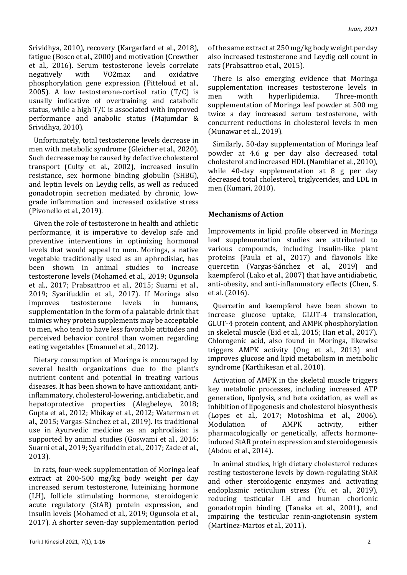Srividhya, 2010), recovery (Kargarfard et al., 2018), fatigue (Bosco et al., 2000) and motivation (Crewther et al., 2016). Serum testosterone levels correlate negatively with VO2max and oxidative phosphorylation gene expression (Pitteloud et al., 2005). A low testosterone-cortisol ratio  $(T/C)$  is usually indicative of overtraining and catabolic status, while a high T/C is associated with improved performance and anabolic status (Majumdar & Srividhya, 2010).

Unfortunately, total testosterone levels decrease in men with metabolic syndrome (Gleicher et al., 2020). Such decrease may be caused by defective cholesterol transport (Culty et al., 2002), increased insulin resistance, sex hormone binding globulin (SHBG), and leptin levels on Leydig cells, as well as reduced gonadotropin secretion mediated by chronic, lowgrade inflammation and increased oxidative stress (Pivonello et al., 2019).

Given the role of testosterone in health and athletic performance, it is imperative to develop safe and preventive interventions in optimizing hormonal levels that would appeal to men. Moringa, a native vegetable traditionally used as an aphrodisiac, has been shown in animal studies to increase testosterone levels (Mohamed et al., 2019; Ogunsola et al., 2017; Prabsattroo et al., 2015; Suarni et al., 2019; Syarifuddin et al., 2017). If Moringa also improves testosterone levels in humans, supplementation in the form of a palatable drink that mimics whey protein supplements may be acceptable to men, who tend to have less favorable attitudes and perceived behavior control than women regarding eating vegetables (Emanuel et al., 2012).

Dietary consumption of Moringa is encouraged by several health organizations due to the plant's nutrient content and potential in treating various diseases. It has been shown to have antioxidant, antiinflammatory, cholesterol-lowering, antidiabetic, and hepatoprotective properties (Alegbeleye, 2018; Gupta et al., 2012; Mbikay et al., 2012; Waterman et al., 2015; Vargas-Sánchez et al., 2019). Its traditional use in Ayurvedic medicine as an aphrodisiac is supported by animal studies (Goswami et al., 2016; Suarni et al., 2019; Syarifuddin et al., 2017; Zade et al., 2013).

In rats, four-week supplementation of Moringa leaf extract at 200-500 mg/kg body weight per day increased serum testosterone, luteinizing hormone (LH), follicle stimulating hormone, steroidogenic acute regulatory (StAR) protein expression, and insulin levels (Mohamed et al., 2019; Ogunsola et al., 2017). A shorter seven-day supplementation period of the same extract at 250 mg/kg body weight per day also increased testosterone and Leydig cell count in rats (Prabsattroo et al., 2015).

There is also emerging evidence that Moringa supplementation increases testosterone levels in men with hyperlipidemia. Three-month supplementation of Moringa leaf powder at 500 mg twice a day increased serum testosterone, with concurrent reductions in cholesterol levels in men (Munawar et al., 2019).

Similarly, 50-day supplementation of Moringa leaf powder at 4.6 g per day also decreased total cholesterol and increased HDL (Nambiar et al., 2010), while 40-day supplementation at 8 g per day decreased total cholesterol, triglycerides, and LDL in men (Kumari, 2010).

### **Mechanisms of Action**

Improvements in lipid profile observed in Moringa leaf supplementation studies are attributed to various compounds, including insulin-like plant proteins (Paula et al., 2017) and flavonols like quercetin (Vargas-Sánchez et al., 2019) and kaempferol (Lako et al., 2007) that have antidiabetic, anti-obesity, and anti-inflammatory effects (Chen, S. et al. (2016).

Quercetin and kaempferol have been shown to increase glucose uptake, GLUT-4 translocation, GLUT-4 protein content, and AMPK phosphorylation in skeletal muscle (Eid et al., 2015; Han et al., 2017). Chlorogenic acid, also found in Moringa, likewise triggers AMPK activity (Ong et al., 2013) and improves glucose and lipid metabolism in metabolic syndrome (Karthikesan et al., 2010).

Activation of AMPK in the skeletal muscle triggers key metabolic processes, including increased ATP generation, lipolysis, and beta oxidation, as well as inhibition of lipogenesis and cholesterol biosynthesis (Lopes et al., 2017; Motoshima et al., 2006). Modulation of AMPK activity, either pharmacologically or genetically, affects hormoneinduced StAR protein expression and steroidogenesis (Abdou et al., 2014).

In animal studies, high dietary cholesterol reduces resting testosterone levels by down‐regulating StAR and other steroidogenic enzymes and activating endoplasmic reticulum stress (Yu et al., 2019), reducing testicular LH and human chorionic gonadotropin binding (Tanaka et al., 2001), and impairing the testicular renin-angiotensin system (Martínez-Martos et al., 2011).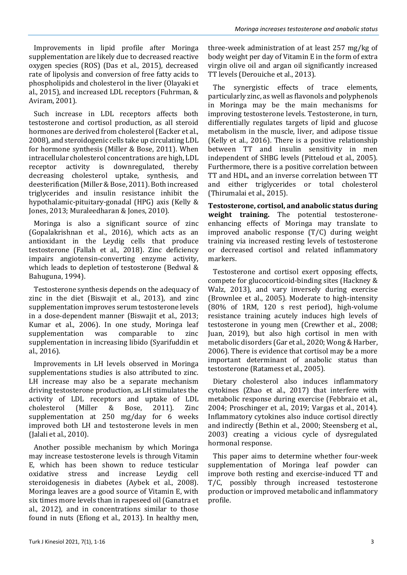Improvements in lipid profile after Moringa supplementation are likely due to decreased reactive oxygen species (ROS) (Das et al., 2015), decreased rate of lipolysis and conversion of free fatty acids to phospholipids and cholesterol in the liver (Olayaki et al., 2015), and increased LDL receptors (Fuhrman, & Aviram, 2001).

Such increase in LDL receptors affects both testosterone and cortisol production, as all steroid hormones are derived from cholesterol (Eacker et al., 2008), and steroidogenic cells take up circulating LDL for hormone synthesis (Miller & Bose, 2011). When intracellular cholesterol concentrations are high, LDL receptor activity is downregulated, thereby decreasing cholesterol uptake, synthesis, and deesterification (Miller & Bose, 2011). Both increased triglycerides and insulin resistance inhibit the hypothalamic-pituitary-gonadal (HPG) axis (Kelly & Jones, 2013; Muraleedharan & Jones, 2010).

Moringa is also a significant source of zinc (Gopalakrishnan et al., 2016), which acts as an antioxidant in the Leydig cells that produce testosterone (Fallah et al., 2018). Zinc deficiency impairs angiotensin-converting enzyme activity, which leads to depletion of testosterone (Bedwal & Bahuguna, 1994).

Testosterone synthesis depends on the adequacy of zinc in the diet (Biswajit et al., 2013), and zinc supplementation improves serum testosterone levels in a dose-dependent manner (Biswajit et al., 2013; Kumar et al., 2006). In one study, Moringa leaf supplementation was comparable to zinc supplementation in increasing libido (Syarifuddin et al., 2016).

Improvements in LH levels observed in Moringa supplementations studies is also attributed to zinc. LH increase may also be a separate mechanism driving testosterone production, as LH stimulates the activity of LDL receptors and uptake of LDL cholesterol (Miller & Bose, 2011). Zinc supplementation at 250 mg/day for 6 weeks improved both LH and testosterone levels in men (Jalali et al., 2010).

Another possible mechanism by which Moringa may increase testosterone levels is through Vitamin E, which has been shown to reduce testicular oxidative stress and increase Leydig cell steroidogenesis in diabetes (Aybek et al., 2008). Moringa leaves are a good source of Vitamin E, with six times more levels than in rapeseed oil (Ganatra et al., 2012), and in concentrations similar to those found in nuts (Efiong et al., 2013). In healthy men,

three-week administration of at least 257 mg/kg of body weight per day of Vitamin E in the form of extra virgin olive oil and argan oil significantly increased TT levels (Derouiche et al., 2013).

The synergistic effects of trace elements, particularly zinc, as well as flavonols and polyphenols in Moringa may be the main mechanisms for improving testosterone levels. Testosterone, in turn, differentially regulates targets of lipid and glucose metabolism in the muscle, liver, and adipose tissue (Kelly et al., 2016). There is a positive relationship between TT and insulin sensitivity in men independent of SHBG levels (Pitteloud et al., 2005). Furthermore, there is a positive correlation between TT and HDL, and an inverse correlation between TT and either triglycerides or total cholesterol (Thirumalai et al., 2015).

**Testosterone, cortisol, and anabolic status during weight training.** The potential testosteroneenhancing effects of Moringa may translate to improved anabolic response (T/C) during weight training via increased resting levels of testosterone or decreased cortisol and related inflammatory markers.

Testosterone and cortisol exert opposing effects, compete for glucocorticoid-binding sites (Hackney & Walz, 2013), and vary inversely during exercise (Brownlee et al., 2005). Moderate to high-intensity (80% of 1RM, 120 s rest period), high-volume resistance training acutely induces high levels of testosterone in young men (Crewther et al., 2008; Juan, 2019), but also high cortisol in men with metabolic disorders (Gar et al., 2020; Wong & Harber, 2006). There is evidence that cortisol may be a more important determinant of anabolic status than testosterone (Ratamess et al., 2005).

Dietary cholesterol also induces inflammatory cytokines (Zhao et al., 2017) that interfere with metabolic response during exercise (Febbraio et al., 2004; Proschinger et al., 2019; Vargas et al., 2014). Inflammatory cytokines also induce cortisol directly and indirectly (Bethin et al., 2000; Steensberg et al., 2003) creating a vicious cycle of dysregulated hormonal response.

This paper aims to determine whether four-week supplementation of Moringa leaf powder can improve both resting and exercise-induced TT and T/C, possibly through increased testosterone production or improved metabolic and inflammatory profile.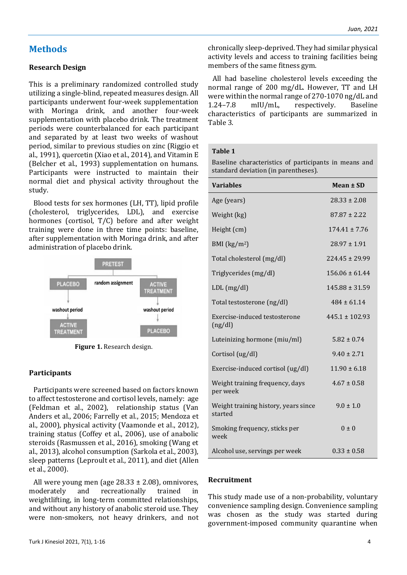# **Methods**

#### **Research Design**

This is a preliminary randomized controlled study utilizing a single-blind, repeated measures design. All participants underwent four-week supplementation with Moringa drink, and another four-week supplementation with placebo drink. The treatment periods were counterbalanced for each participant and separated by at least two weeks of washout period, similar to previous studies on zinc (Riggio et al., 1991), quercetin (Xiao et al., 2014), and Vitamin E (Belcher et al., 1993) supplementation on humans. Participants were instructed to maintain their normal diet and physical activity throughout the study.

Blood tests for sex hormones (LH, TT), lipid profile (cholesterol, triglycerides, LDL), and exercise hormones (cortisol, T/C) before and after weight training were done in three time points: baseline, after supplementation with Moringa drink, and after administration of placebo drink.



**Figure 1.** Research design.

#### **Participants**

Participants were screened based on factors known to affect testosterone and cortisol levels, namely: age (Feldman et al., 2002), relationship status (Van Anders et al., 2006; Farrelly et al., 2015; Mendoza et al., 2000), physical activity (Vaamonde et al., 2012), training status (Coffey et al., 2006), use of anabolic steroids (Rasmussen et al., 2016), smoking (Wang et al., 2013), alcohol consumption (Sarkola et al., 2003), sleep patterns (Leproult et al., 2011), and diet (Allen et al., 2000).

All were young men (age 28.33 ± 2.08), omnivores, moderately and recreationally trained in weightlifting, in long-term committed relationships, and without any history of anabolic steroid use. They were non-smokers, not heavy drinkers, and not chronically sleep-deprived. They had similar physical activity levels and access to training facilities being members of the same fitness gym.

All had baseline cholesterol levels exceeding the normal range of 200 mg/dL. However, TT and LH were within the normal range of 270-1070 ng/dL and 1.24–7.8 mIU/mL, respectively. Baseline characteristics of participants are summarized in Table 3.

#### **Table 1**

Baseline characteristics of participants in means and standard deviation (in parentheses).

| <b>Variables</b>                                | Mean ± SD          |  |  |
|-------------------------------------------------|--------------------|--|--|
| Age (years)                                     | $28.33 \pm 2.08$   |  |  |
| Weight (kg)                                     | $87.87 \pm 2.22$   |  |  |
| Height (cm)                                     | $174.41 \pm 7.76$  |  |  |
| BMI $(kg/m2)$                                   | $28.97 \pm 1.91$   |  |  |
| Total cholesterol (mg/dl)                       | $224.45 \pm 29.99$ |  |  |
| Triglycerides (mg/dl)                           | $156.06 \pm 61.44$ |  |  |
| $LDL$ (mg/dl)                                   | $145.88 \pm 31.59$ |  |  |
| Total testosterone (ng/dl)                      | $484 \pm 61.14$    |  |  |
| Exercise-induced testosterone<br>(ng/dl)        | $445.1 \pm 102.93$ |  |  |
| Luteinizing hormone (miu/ml)                    | $5.82 \pm 0.74$    |  |  |
| Cortisol (ug/dl)                                | $9.40 \pm 2.71$    |  |  |
| Exercise-induced cortisol (ug/dl)               | $11.90 \pm 6.18$   |  |  |
| Weight training frequency, days<br>per week     | $4.67 \pm 0.58$    |  |  |
| Weight training history, years since<br>started | $9.0 \pm 1.0$      |  |  |
| Smoking frequency, sticks per<br>week           | $0 \pm 0$          |  |  |
| Alcohol use, servings per week                  | $0.33 \pm 0.58$    |  |  |

#### **Recruitment**

This study made use of a non-probability, voluntary convenience sampling design. Convenience sampling was chosen as the study was started during government-imposed community quarantine when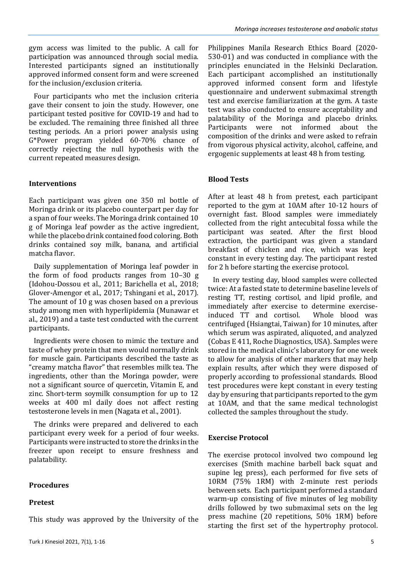gym access was limited to the public. A call for participation was announced through social media. Interested participants signed an institutionally approved informed consent form and were screened for the inclusion/exclusion criteria.

Four participants who met the inclusion criteria gave their consent to join the study. However, one participant tested positive for COVID-19 and had to be excluded. The remaining three finished all three testing periods. An a priori power analysis using G\*Power program yielded 60-70% chance of correctly rejecting the null hypothesis with the current repeated measures design.

#### **Interventions**

Each participant was given one 350 ml bottle of Moringa drink or its placebo counterpart per day for a span of four weeks. The Moringa drink contained 10 g of Moringa leaf powder as the active ingredient, while the placebo drink contained food coloring. Both drinks contained soy milk, banana, and artificial matcha flavor.

Daily supplementation of Moringa leaf powder in the form of food products ranges from 10–30 g (Idohou-Dossou et al., 2011; Barichella et al., 2018; Glover‐Amengor et al., 2017; Tshingani et al., 2017). The amount of 10 g was chosen based on a previous study among men with hyperlipidemia (Munawar et al., 2019) and a taste test conducted with the current participants.

Ingredients were chosen to mimic the texture and taste of whey protein that men would normally drink for muscle gain. Participants described the taste as "creamy matcha flavor" that resembles milk tea. The ingredients, other than the Moringa powder, were not a significant source of quercetin, Vitamin E, and zinc. Short-term soymilk consumption for up to 12 weeks at 400 ml daily does not affect resting testosterone levels in men (Nagata et al., 2001).

The drinks were prepared and delivered to each participant every week for a period of four weeks. Participants were instructed to store the drinks in the freezer upon receipt to ensure freshness and palatability.

#### **Procedures**

#### **Pretest**

This study was approved by the University of the

Philippines Manila Research Ethics Board (2020- 530-01) and was conducted in compliance with the principles enunciated in the Helsinki Declaration. Each participant accomplished an institutionally approved informed consent form and lifestyle questionnaire and underwent submaximal strength test and exercise familiarization at the gym. A taste test was also conducted to ensure acceptability and palatability of the Moringa and placebo drinks. Participants were not informed about the composition of the drinks and were asked to refrain from vigorous physical activity, alcohol, caffeine, and ergogenic supplements at least 48 h from testing.

#### **Blood Tests**

After at least 48 h from pretest, each participant reported to the gym at 10AM after 10-12 hours of overnight fast. Blood samples were immediately collected from the right antecubital fossa while the participant was seated. After the first blood extraction, the participant was given a standard breakfast of chicken and rice, which was kept constant in every testing day. The participant rested for 2 h before starting the exercise protocol.

In every testing day, blood samples were collected twice: At a fasted state to determine baseline levels of resting TT, resting cortisol, and lipid profile, and immediately after exercise to determine exerciseinduced TT and cortisol. Whole blood was centrifuged (Hsiangtai, Taiwan) for 10 minutes, after which serum was aspirated, aliquoted, and analyzed (Cobas E 411, Roche Diagnostics, USA). Samples were stored in the medical clinic's laboratory for one week to allow for analysis of other markers that may help explain results, after which they were disposed of properly according to professional standards. Blood test procedures were kept constant in every testing day by ensuring that participants reported to the gym at 10AM, and that the same medical technologist collected the samples throughout the study.

#### **Exercise Protocol**

The exercise protocol involved two compound leg exercises (Smith machine barbell back squat and supine leg press), each performed for five sets of 10RM (75% 1RM) with 2-minute rest periods between sets. Each participant performed a standard warm-up consisting of five minutes of leg mobility drills followed by two submaximal sets on the leg press machine (20 repetitions, 50% 1RM) before starting the first set of the hypertrophy protocol.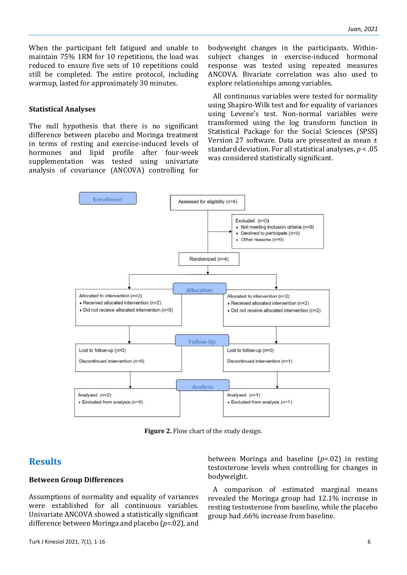When the participant felt fatigued and unable to maintain 75% 1RM for 10 repetitions, the load was reduced to ensure five sets of 10 repetitions could still be completed. The entire protocol, including warmup, lasted for approximately 30 minutes.

#### **Statistical Analyses**

The null hypothesis that there is no significant difference between placebo and Moringa treatment in terms of resting and exercise-induced levels of hormones and lipid profile after four-week supplementation was tested using univariate analysis of covariance (ANCOVA) controlling for

bodyweight changes in the participants. Withinsubject changes in exercise-induced hormonal response was tested using repeated measures ANCOVA. Bivariate correlation was also used to explore relationships among variables.

All continuous variables were tested for normality using Shapiro-Wilk test and for equality of variances using Levene's test. Non-normal variables were transformed using the log transform function in Statistical Package for the Social Sciences (SPSS) Version 27 software. Data are presented as mean ± standard deviation. For all statistical analyses, *p* < .05 was considered statistically significant.



**Figure 2.** Flow chart of the study design.

# **Results**

#### **Between Group Differences**

Assumptions of normality and equality of variances were established for all continuous variables. Univariate ANCOVA showed a statistically significant difference between Moringa and placebo (*p=*.02), and between Moringa and baseline (*p*=.02) in resting testosterone levels when controlling for changes in bodyweight.

A comparison of estimated marginal means revealed the Moringa group had 12.1% increase in resting testosterone from baseline, while the placebo group had .66% increase from baseline.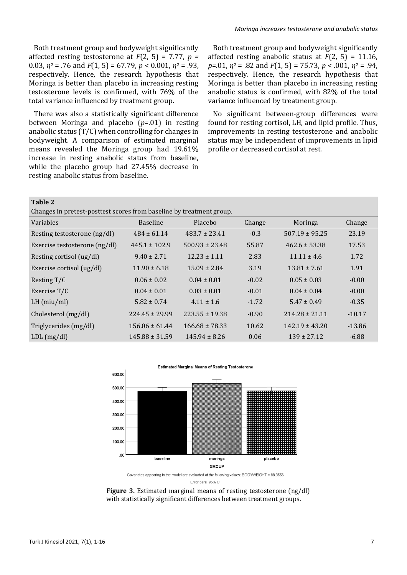Both treatment group and bodyweight significantly affected resting testosterone at *F*(2, 5) = 7.77, *p =* 0.03, *η<sup>2</sup>* = .76 and *F*(1, 5) = 67.79, *p* < 0.001, *η<sup>2</sup>* = .93, respectively. Hence, the research hypothesis that Moringa is better than placebo in increasing resting testosterone levels is confirmed, with 76% of the total variance influenced by treatment group.

There was also a statistically significant difference between Moringa and placebo (*p=*.01) in resting anabolic status (T/C) when controlling for changes in bodyweight. A comparison of estimated marginal means revealed the Moringa group had 19.61% increase in resting anabolic status from baseline, while the placebo group had 27.45% decrease in resting anabolic status from baseline.

Both treatment group and bodyweight significantly affected resting anabolic status at *F*(2, 5) = 11.16, *p=*.01, *η<sup>2</sup>* = .82 and *F*(1, 5) = 75.73, *p* < .001, *η<sup>2</sup>* = .94, respectively. Hence, the research hypothesis that Moringa is better than placebo in increasing resting anabolic status is confirmed, with 82% of the total variance influenced by treatment group.

No significant between-group differences were found for resting cortisol, LH, and lipid profile. Thus, improvements in resting testosterone and anabolic status may be independent of improvements in lipid profile or decreased cortisol at rest.

**Table 2**

Changes in pretest-posttest scores from baseline by treatment group.

| Variables                     | <b>Baseline</b>    | Placebo            | Change  | Moringa            | Change   |
|-------------------------------|--------------------|--------------------|---------|--------------------|----------|
| Resting testosterone (ng/dl)  | $484 \pm 61.14$    | $483.7 \pm 23.41$  | $-0.3$  | $507.19 \pm 95.25$ | 23.19    |
| Exercise testosterone (ng/dl) | $445.1 \pm 102.9$  | $500.93 \pm 23.48$ | 55.87   | $462.6 \pm 53.38$  | 17.53    |
| Resting cortisol (ug/dl)      | $9.40 \pm 2.71$    | $12.23 \pm 1.11$   | 2.83    | $11.11 \pm 4.6$    | 1.72     |
| Exercise cortisol (ug/dl)     | $11.90 \pm 6.18$   | $15.09 \pm 2.84$   | 3.19    | $13.81 \pm 7.61$   | 1.91     |
| Resting T/C                   | $0.06 \pm 0.02$    | $0.04 \pm 0.01$    | $-0.02$ | $0.05 \pm 0.03$    | $-0.00$  |
| Exercise T/C                  | $0.04 \pm 0.01$    | $0.03 \pm 0.01$    | $-0.01$ | $0.04 \pm 0.04$    | $-0.00$  |
| $LH$ (miu/ml)                 | $5.82 \pm 0.74$    | $4.11 \pm 1.6$     | $-1.72$ | $5.47 \pm 0.49$    | $-0.35$  |
| Cholesterol (mg/dl)           | $224.45 \pm 29.99$ | $223.55 \pm 19.38$ | $-0.90$ | $214.28 \pm 21.11$ | $-10.17$ |
| Triglycerides (mg/dl)         | $156.06 \pm 61.44$ | $166.68 \pm 78.33$ | 10.62   | $142.19 \pm 43.20$ | $-13.86$ |
| $LDL$ (mg/dl)                 | $145.88 \pm 31.59$ | $145.94 \pm 8.26$  | 0.06    | $139 \pm 27.12$    | $-6.88$  |



Error bars: 95% CI

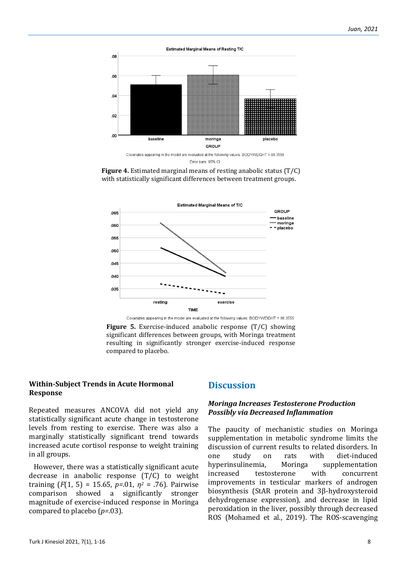

Error bars: 95% CI





Covariates appearing in the model are evaluated at the following values: BODYWEIGHT = 88.3556 **Figure 5.** Exercise-induced anabolic response (T/C) showing significant differences between groups, with Moringa treatment resulting in significantly stronger exercise-induced response compared to placebo.

#### **Within-Subject Trends in Acute Hormonal Response**

Repeated measures ANCOVA did not yield any statistically significant acute change in testosterone levels from resting to exercise. There was also a marginally statistically significant trend towards increased acute cortisol response to weight training in all groups.

However, there was a statistically significant acute decrease in anabolic response (T/C) to weight training (*F*(1, 5) = 15.65, *p=*.01, *η<sup>2</sup>* = .76). Pairwise comparison showed a significantly stronger magnitude of exercise-induced response in Moringa compared to placebo (*p=*.03).

# **Discussion**

#### *Moringa Increases Testosterone Production Possibly via Decreased Inflammation*

The paucity of mechanistic studies on Moringa supplementation in metabolic syndrome limits the discussion of current results to related disorders. In one study on rats with diet-induced hyperinsulinemia, Moringa supplementation increased testosterone with concurrent improvements in testicular markers of androgen biosynthesis (StAR protein and 3β-hydroxysteroid dehydrogenase expression), and decrease in lipid peroxidation in the liver, possibly through decreased ROS (Mohamed et al., 2019). The ROS-scavenging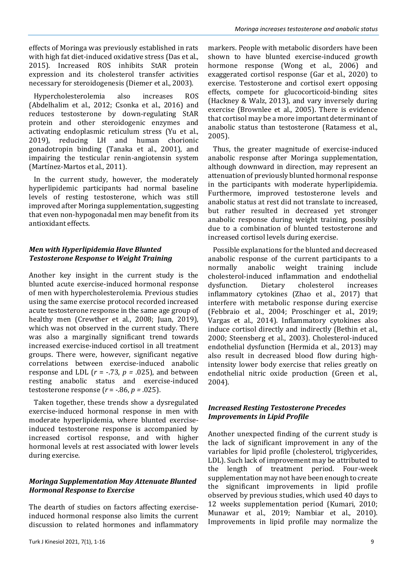effects of Moringa was previously established in rats with high fat diet-induced oxidative stress (Das et al., 2015). Increased ROS inhibits StAR protein expression and its cholesterol transfer activities necessary for steroidogenesis (Diemer et al., 2003).

Hypercholesterolemia also increases ROS (Abdelhalim et al., 2012; Csonka et al., 2016) and reduces testosterone by down‐regulating StAR protein and other steroidogenic enzymes and activating endoplasmic reticulum stress (Yu et al., 2019), reducing LH and human chorionic gonadotropin binding (Tanaka et al., 2001), and impairing the testicular renin-angiotensin system (Martínez-Martos et al., 2011).

In the current study, however, the moderately hyperlipidemic participants had normal baseline levels of resting testosterone, which was still improved after Moringa supplementation, suggesting that even non-hypogonadal men may benefit from its antioxidant effects.

# *Men with Hyperlipidemia Have Blunted Testosterone Response to Weight Training*

Another key insight in the current study is the blunted acute exercise-induced hormonal response of men with hypercholesterolemia. Previous studies using the same exercise protocol recorded increased acute testosterone response in the same age group of healthy men (Crewther et al., 2008; Juan, 2019), which was not observed in the current study. There was also a marginally significant trend towards increased exercise-induced cortisol in all treatment groups. There were, however, significant negative correlations between exercise-induced anabolic response and LDL  $(r = -.73, p = .025)$ , and between resting anabolic status and exercise-induced testosterone response (*r* = -.86, *p =* .025).

Taken together, these trends show a dysregulated exercise-induced hormonal response in men with moderate hyperlipidemia, where blunted exerciseinduced testosterone response is accompanied by increased cortisol response, and with higher hormonal levels at rest associated with lower levels during exercise.

# *Moringa Supplementation May Attenuate Blunted Hormonal Response to Exercise*

The dearth of studies on factors affecting exerciseinduced hormonal response also limits the current discussion to related hormones and inflammatory markers. People with metabolic disorders have been shown to have blunted exercise-induced growth hormone response (Wong et al., 2006) and exaggerated cortisol response (Gar et al., 2020) to exercise. Testosterone and cortisol exert opposing effects, compete for glucocorticoid-binding sites (Hackney & Walz, 2013), and vary inversely during exercise (Brownlee et al., 2005). There is evidence that cortisol may be a more important determinant of anabolic status than testosterone (Ratamess et al., 2005).

Thus, the greater magnitude of exercise-induced anabolic response after Moringa supplementation, although downward in direction, may represent an attenuation of previously blunted hormonal response in the participants with moderate hyperlipidemia. Furthermore, improved testosterone levels and anabolic status at rest did not translate to increased, but rather resulted in decreased yet stronger anabolic response during weight training, possibly due to a combination of blunted testosterone and increased cortisol levels during exercise.

Possible explanations for the blunted and decreased anabolic response of the current participants to a normally anabolic weight training include cholesterol-induced inflammation and endothelial dysfunction. Dietary cholesterol increases inflammatory cytokines (Zhao et al., 2017) that interfere with metabolic response during exercise (Febbraio et al., 2004; Proschinger et al., 2019; Vargas et al., 2014). Inflammatory cytokines also induce cortisol directly and indirectly (Bethin et al., 2000; Steensberg et al., 2003). Cholesterol-induced endothelial dysfunction (Hermida et al., 2013) may also result in decreased blood flow during highintensity lower body exercise that relies greatly on endothelial nitric oxide production (Green et al., 2004).

#### *Increased Resting Testosterone Precedes Improvements in Lipid Profile*

Another unexpected finding of the current study is the lack of significant improvement in any of the variables for lipid profile (cholesterol, triglycerides, LDL). Such lack of improvement may be attributed to the length of treatment period. Four-week supplementation may not have been enough to create the significant improvements in lipid profile observed by previous studies, which used 40 days to 12 weeks supplementation period (Kumari, 2010; Munawar et al., 2019; Nambiar et al., 2010). Improvements in lipid profile may normalize the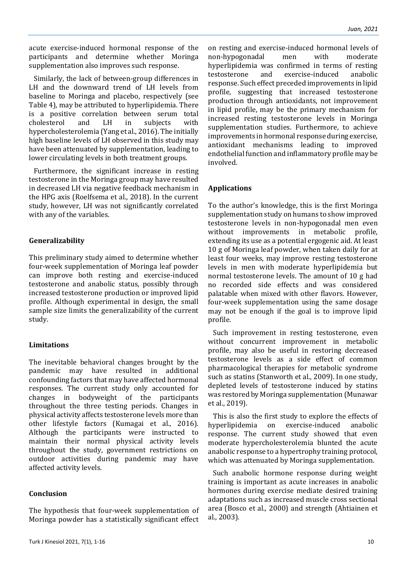acute exercise-induced hormonal response of the participants and determine whether Moringa supplementation also improves such response.

Similarly, the lack of between-group differences in LH and the downward trend of LH levels from baseline to Moringa and placebo, respectively (see Table 4), may be attributed to hyperlipidemia. There is a positive correlation between serum total cholesterol and LH in subjects with hypercholesterolemia (Yang et al., 2016). The initially high baseline levels of LH observed in this study may have been attenuated by supplementation, leading to lower circulating levels in both treatment groups.

Furthermore, the significant increase in resting testosterone in the Moringa group may have resulted in decreased LH via negative feedback mechanism in the HPG axis (Roelfsema et al., 2018). In the current study, however, LH was not significantly correlated with any of the variables.

#### **Generalizability**

This preliminary study aimed to determine whether four-week supplementation of Moringa leaf powder can improve both resting and exercise-induced testosterone and anabolic status, possibly through increased testosterone production or improved lipid profile. Although experimental in design, the small sample size limits the generalizability of the current study.

# **Limitations**

The inevitable behavioral changes brought by the pandemic may have resulted in additional confounding factors that may have affected hormonal responses. The current study only accounted for changes in bodyweight of the participants throughout the three testing periods. Changes in physical activity affects testosterone levels more than other lifestyle factors (Kumagai et al., 2016). Although the participants were instructed to maintain their normal physical activity levels throughout the study, government restrictions on outdoor activities during pandemic may have affected activity levels.

# **Conclusion**

The hypothesis that four-week supplementation of Moringa powder has a statistically significant effect

on resting and exercise-induced hormonal levels of non-hypogonadal men with moderate hyperlipidemia was confirmed in terms of resting testosterone and exercise-induced anabolic response. Such effect preceded improvements in lipid profile, suggesting that increased testosterone production through antioxidants, not improvement in lipid profile, may be the primary mechanism for increased resting testosterone levels in Moringa supplementation studies. Furthermore, to achieve improvements in hormonal response during exercise, antioxidant mechanisms leading to improved endothelial function and inflammatory profile may be involved.

### **Applications**

To the author's knowledge, this is the first Moringa supplementation study on humans to show improved testosterone levels in non-hypogonadal men even without improvements in metabolic profile. extending its use as a potential ergogenic aid. At least 10 g of Moringa leaf powder, when taken daily for at least four weeks, may improve resting testosterone levels in men with moderate hyperlipidemia but normal testosterone levels. The amount of 10 g had no recorded side effects and was considered palatable when mixed with other flavors. However, four-week supplementation using the same dosage may not be enough if the goal is to improve lipid profile.

Such improvement in resting testosterone, even without concurrent improvement in metabolic profile, may also be useful in restoring decreased testosterone levels as a side effect of common pharmacological therapies for metabolic syndrome such as statins (Stanworth et al., 2009). In one study, depleted levels of testosterone induced by statins was restored by Moringa supplementation (Munawar et al., 2019).

This is also the first study to explore the effects of hyperlipidemia on exercise-induced anabolic response. The current study showed that even moderate hypercholesterolemia blunted the acute anabolic response to a hypertrophy training protocol, which was attenuated by Moringa supplementation.

Such anabolic hormone response during weight training is important as acute increases in anabolic hormones during exercise mediate desired training adaptations such as increased muscle cross sectional area (Bosco et al., 2000) and strength (Ahtiainen et al., 2003).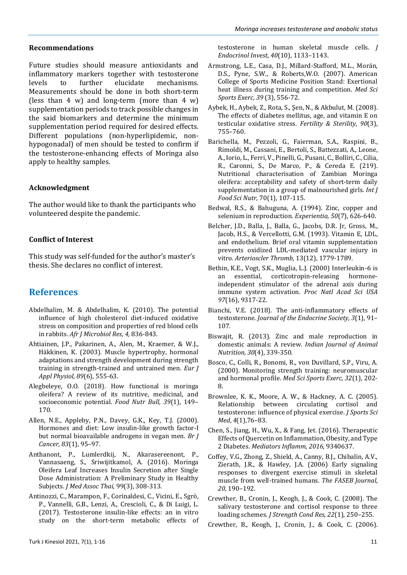#### **Recommendations**

Future studies should measure antioxidants and inflammatory markers together with testosterone levels to further elucidate mechanisms. Measurements should be done in both short-term (less than 4 w) and long-term (more than 4 w) supplementation periods to track possible changes in the said biomarkers and determine the minimum supplementation period required for desired effects. Different populations (non-hyperlipidemic, nonhypogonadal) of men should be tested to confirm if the testosterone-enhancing effects of Moringa also apply to healthy samples.

#### **Acknowledgment**

The author would like to thank the participants who volunteered despite the pandemic.

#### **Conflict of Interest**

This study was self-funded for the author's master's thesis. She declares no conflict of interest.

# **References**

- Abdelhalim, M. & Abdelhalim, K. (2010). The potential influence of high cholesterol diet-induced oxidative stress on composition and properties of red blood cells in rabbits. *Afr J Microbiol Res, 4,* 836-843.
- Ahtiainen, J.P., Pakarinen, A., Alen, M., Kraemer, & W.J., Häkkinen, K. (2003). Muscle hypertrophy, hormonal adaptations and strength development during strength training in strength-trained and untrained men. *Eur J Appl Physiol, 89*(6), 555-63.
- Alegbeleye, O.O. (2018). How functional is moringa oleifera? A review of its nutritive, medicinal, and socioeconomic potential. *Food Nutr Bull, 39*(1), 149– 170.
- Allen, N.E., Appleby, P.N., Davey, G.K., Key, T.J. (2000). Hormones and diet: Low insulin-like growth factor-I but normal bioavailable androgens in vegan men. *Br J Cancer, 83*(1), 95–97.
- Anthanont, P., Lumlerdkij, N., Akarasereenont, P., Vannasaeng, S., Sriwijitkamol, A. (2016). Moringa Oleifera Leaf Increases Insulin Secretion after Single Dose Administration: A Preliminary Study in Healthy Subjects. *J Med Assoc Thai,* 99(3), 308-313.
- Antinozzi, C., Marampon, F., Corinaldesi, C., Vicini, E., Sgrò, P., Vannelli, G.B., Lenzi, A., Crescioli, C., & Di Luigi, L. (2017). Testosterone insulin-like effects: an in vitro study on the short-term metabolic effects of

testosterone in human skeletal muscle cells. *J Endocrinol Invest*, *40*(10), 1133–1143.

- Armstrong, L.E., Casa, D.J., Millard-Stafford, M.L., Morán, D.S., Pyne, S.W., & Roberts,W.O. (2007). American College of Sports Medicine Position Stand: Exertional heat illness during training and competition. *Med Sci Sports Exerc, 39* (3), 556-72.
- Aybek, H., Aybek, Z., Rota, S., Şen, N., & Akbulut, M. (2008). The effects of diabetes mellitus, age, and vitamin E on testicular oxidative stress. *Fertility & Sterility*, *90*(3), 755–760.
- Barichella, M., Pezzoli, G., Faierman, S.A., Raspini, B., Rimoldi, M., Cassani, E., Bertoli, S., Battezzati, A., Leone, A., Iorio, L., Ferri, V., Pinelli, G., Pusani, C., Bolliri, C., Cilia, R., Caronni, S., De Marco, P., & Cereda E. (219). Nutritional characterisation of Zambian Moringa oleifera: acceptability and safety of short-term daily supplementation in a group of malnourished girls. *Int J Food Sci Nutr*, 70(1), 107-115.
- Bedwal, R.S., & Bahuguna, A. (1994). Zinc, copper and selenium in reproduction. *Experientia, 50*(7), 626-640.
- Belcher, J.D., Balla, J., Balla, G., Jacobs, D.R. Jr, Gross, M., Jacob, H.S., & Vercellotti, G.M. (1993). Vitamin E, LDL, and endothelium. Brief oral vitamin supplementation prevents oxidized LDL-mediated vascular injury in vitro. *Arterioscler Thromb,* 13(12), 1779-1789.
- Bethin, K.E., Vogt, S.K., Muglia, L.J. (2000) Interleukin-6 is an essential, corticotropin-releasing hormoneindependent stimulator of the adrenal axis during immune system activation. *Proc Natl Acad Sci USA 97*(16), 9317-22.
- Bianchi, V.E. (2018). The anti-inflammatory effects of testosterone. *Journal of the Endocrine Society, 3*(1), 91– 107.
- Biswajit, R. (2013). Zinc and male reproduction in domestic animals: A review. *Indian Journal of Animal Nutrition, 30*(4), 339-350.
- Bosco, C., Colli, R., Bonomi, R., von Duvillard, S.P., Viru, A. (2000). Monitoring strength training: neuromuscular and hormonal profile. *Med Sci Sports Exerc, 32*(1), 202- 8.
- Brownlee, K. K., Moore, A. W., & Hackney, A. C. (2005). Relationship between circulating cortisol and testosterone: influence of physical exercise. *J Sports Sci Med*, *4*(1),76–83.
- Chen, S., Jiang, H., Wu, X., & Fang, Jet. (2016). Therapeutic Effects of Quercetin on Inflammation, Obesity, and Type 2 Diabetes. *Mediators Inflamm, 2016,* 9340637.
- Coffey, V.G., Zhong, Z., Shield, A., Canny, B.J., Chibalin, A.V., Zierath, J.R., & Hawley, J.A. (2006) Early signaling responses to divergent exercise stimuli in skeletal muscle from well-trained humans. *The FASEB Journal, 20,* 190–192.
- Crewther, B., Cronin, J., Keogh, J., & Cook, C. (2008). The salivary testosterone and cortisol response to three loading schemes. *J Strength Cond Res, 22*(1), 250–255.
- Crewther, B., Keogh, J., Cronin, J., & Cook, C. (2006).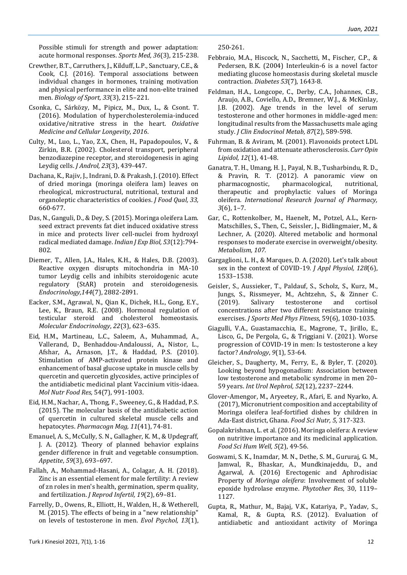Possible stimuli for strength and power adaptation: acute hormonal responses. *Sports Med, 36*(3), 215-238.

- Crewther, B.T., Carruthers, J., Kilduff, L.P., Sanctuary, C.E., & Cook, C.J. (2016). Temporal associations between individual changes in hormones, training motivation and physical performance in elite and non-elite trained men. *Biology of Sport, 33*(3), 215–221.
- Csonka, C., Sárközy, M., Pipicz, M., Dux, L., & Csont. T. (2016). Modulation of hypercholesterolemia-induced oxidative/nitrative stress in the heart. *Oxidative Medicine and Cellular Longevity*, *2016*.
- Culty, M., Luo, L., Yao, Z.X., Chen, H., Papadopoulos, V., & Zirkin, B.R. (2002). Cholesterol transport, peripheral benzodiazepine receptor, and steroidogenesis in aging Leydig cells. *J Androl, 23*(3), 439-447.
- Dachana, K., Rajiv, J., Indrani, D. & Prakash, J. (2010). Effect of dried moringa (moringa oleifera lam) leaves on rheological, microstructural, nutritional, textural and organoleptic characteristics of cookies. *J Food Qual, 33,*  660-677.
- Das, N., Ganguli, D., & Dey, S. (2015). Moringa oleifera Lam. seed extract prevents fat diet induced oxidative stress in mice and protects liver cell-nuclei from hydroxyl radical mediated damage. *Indian J Exp Biol, 53*(12):794- 802.
- Diemer, T., Allen, J.A., Hales, K.H., & Hales, D.B. (2003). Reactive oxygen disrupts mitochondria in MA-10 tumor Leydig cells and inhibits steroidogenic acute regulatory (StAR) protein and steroidogenesis. *Endocrinology,144*(7), 2882-2891.
- Eacker, S.M., Agrawal, N., Qian K., Dichek, H.L., Gong, E.Y., Lee, K., Braun, R.E. (2008). Hormonal regulation of testicular steroid and cholesterol homeostasis. *Molecular Endocrinology*, *22*(3), 623–635.
- Eid, H.M., Martineau, L.C., Saleem, A., Muhammad, A., Vallerand, D., Benhaddou-Andaloussi, A., Nistor, L., Afshar, A., Arnason, J.T., & Haddad, P.S. (2010). Stimulation of AMP-activated protein kinase and enhancement of basal glucose uptake in muscle cells by quercetin and quercetin glycosides, active principles of the antidiabetic medicinal plant Vaccinium vitis-idaea. *Mol Nutr Food Res,* 54(7), 991-1003.
- Eid, H.M., Nachar, A., Thong, F., Sweeney, G., & Haddad, P.S. (2015). The molecular basis of the antidiabetic action of quercetin in cultured skeletal muscle cells and hepatocytes. *Pharmacogn Mag, 11*(41), 74-81.
- Emanuel, A. S., McCully, S. N., Gallagher, K. M., & Updegraff, J. A. (2012). Theory of planned behavior explains gender difference in fruit and vegetable consumption. *Appetite*, *59*(3), 693–697.
- Fallah, A., Mohammad-Hasani, A., Colagar, A. H. (2018). Zinc is an essential element for male fertility: A review of zn roles in men's health, germination, sperm quality, and fertilization. *J Reprod Infertil, 19*(2), 69–81.
- Farrelly, D., Owens, R., Elliott, H., Walden, H., & Wetherell, M. (2015). The effects of being in a "new relationship" on levels of testosterone in men. *Evol Psychol, 13*(1),

250-261.

- Febbraio, M.A., Hiscock, N., Sacchetti, M., Fischer, C.P., & Pedersen, B.K. (2004) Interleukin-6 is a novel factor mediating glucose homeostasis during skeletal muscle contraction. *Diabetes 53*(7), 1643-8.
- Feldman, H.A., Longcope, C., Derby, C.A., Johannes, C.B., Araujo, A.B., Coviello, A.D., Bremner, W.J., & McKinlay, J.B. (2002). Age trends in the level of serum testosterone and other hormones in middle-aged men: longitudinal results from the Massachusetts male aging study. *J Clin Endocrinol Metab, 87*(2), 589-598[.](https://doi.org/10.1210/jcem.87.2.8201)
- Fuhrman, B. & Aviram, M. (2001). Flavonoids protect LDL from oxidation and attenuate atherosclerosis. *Curr Opin Lipidol, 12*(1), 41-48.
- Ganatra, T. H., Umang, H. J., Payal, N. B., Tusharbindu, R. D., & Pravin, R. T. (2012). A panoramic view on pharmacognostic, pharmacological, nutritional, therapeutic and prophylactic values of Moringa oleifera*. International Research Journal of Pharmacy, 3*(6), 1–7.
- Gar, C., Rottenkolber, M., Haenelt, M., Potzel, A.L., Kern-Matschilles, S., Then, C., Seissler, J., Bidlingmaier, M., & Lechner, A. (2020). Altered metabolic and hormonal responses to moderate exercise in overweight/obesity. *Metabolism, 107.*
- Gargaglioni, L. H., & Marques, D. A. (2020). Let's talk about sex in the context of COVID-19. *J Appl Physiol, 128*(6), 1533–1538.
- Geisler, S., Aussieker, T., Paldauf, S., Scholz, S., Kurz, M., Jungs, S., Rissmeyer, M., Achtzehn, S., & Zinner C. (2019). Salivary testosterone and cortisol concentrations after two different resistance training exercises. *J Sports Med Phys Fitness,* 59(6), 1030-1035.
- Giagulli, V.A., Guastamacchia, E., Magrone, T., Jirillo, E., Lisco, G., De Pergola, G., & Triggiani V. (2021). Worse progression of COVID-19 in men: Is testosterone a key factor? *Andrology*, *9*(1), 53-64.
- Gleicher, S., Daugherty, M., Ferry, E., & Byler, T. (2020). Looking beyond hypogonadism: Association between low testosterone and metabolic syndrome in men 20– 59 years. *Int Urol Nephrol, 52*(12), 2237–2244.
- Glover‐Amengor, M., Aryeetey, R., Afari, E. and Nyarko, A. (2017), Micronutrient composition and acceptability of Moringa oleifera leaf‐fortified dishes by children in Ada‐East district, Ghana. *Food Sci Nutr, 5,* 317-323.
- Gopalakrishnan, L. et al. (2016). Moringa oleifera: A review on nutritive importance and its medicinal application. *Food Sci Hum Well, 5*(2), 49-56.
- Goswami, S. K., Inamdar, M. N., Dethe, S. M., Gururaj, G. M., Jamwal, R., Bhaskar, A., Mundkinajeddu, D., and Agarwal, A. (2016) Erectogenic and Aphrodisiac Property of *Moringa oleifera*: Involvement of soluble epoxide hydrolase enzyme. *Phytother Res*, 30, 1119– 1127.
- Gupta, R., Mathur, M., Bajaj, V.K., Katariya, P., Yadav, S., Kamal, R., & Gupta, R.S. (2012). Evaluation of antidiabetic and antioxidant activity of Moringa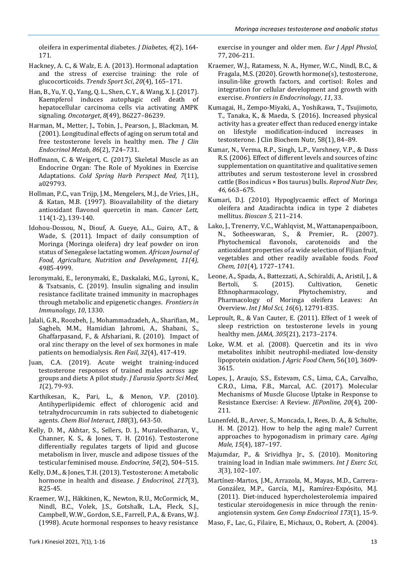oleifera in experimental diabetes. *J Diabetes, 4*(2), 164- 171.

- Hackney, A. C., & Walz, E. A. (2013). Hormonal adaptation and the stress of exercise training: the role of glucocorticoids. *Trends Sport Sci*, *20*(4), 165–171.
- Han, B., Yu, Y. Q., Yang, Q. L., Shen, C. Y., & Wang, X. J. (2017). Kaempferol induces autophagic cell death of hepatocellular carcinoma cells via activating AMPK signaling. *Oncotarget*, *8*(49), 86227–86239.
- Harman, M., Metter, J., Tobin, J., Pearson, J., Blackman, M. (2001). Longitudinal effects of aging on serum total and free testosterone levels in healthy men. *The J Clin Endocrinol Metab, 86*(2), 724–731.
- Hoffmann, C. & Weigert, C. (2017). Skeletal Muscle as an Endocrine Organ: The Role of Myokines in Exercise Adaptations. *Cold Spring Harb Perspect Med, 7*(11), a029793.
- Hollman, P.C., van Trijp, J.M., Mengelers, M.J., de Vries, J.H., & Katan, M.B. (1997). Bioavailability of the dietary antioxidant flavonol quercetin in man. *Cancer Lett,*  114(1-2), 139-140.
- Idohou-Dossou, N., Diouf, A. Gueye, A.L., Guiro, A.T., & Wade, S. (2011). Impact of daily consumption of Moringa (Moringa oleifera) dry leaf powder on iron status of Senegalese lactating women. *African Journal of Food, Agriculture, Nutrition and Development, 11(4),*  4985-4999.
- Ieronymaki, E., Ieronymaki, E., Daskalaki, M.G., Lyroni, K., & Tsatsanis, C. (2019). Insulin signaling and insulin resistance facilitate trained immunity in macrophages through metabolic and epigenetic changes. *Frontiers in Immunology*, *10*, 1330.
- Jalali, G.R., Roozbeh, J., Mohammadzadeh, A., Sharifian, M., Sagheb, M.M., Hamidian Jahromi, A., Shabani, S., Ghaffarpasand, F., & Afshariani, R. (2010). Impact of oral zinc therapy on the level of sex hormones in male patients on hemodialysis. *Ren Fail, 32*(4), 417-419.
- Juan, C.A. (2019). Acute weight training-induced testosterone responses of trained males across age groups and diets: A pilot study. *J Eurasia Sports Sci Med, 1*(2), 79-93.
- Karthikesan, K., Pari, L., & Menon, V.P. (2010). Antihyperlipidemic effect of chlorogenic acid and tetrahydrocurcumin in rats subjected to diabetogenic agents. *Chem Biol Interact, 188*(3), 643-50.
- Kelly, D. M., Akhtar, S., Sellers, D. J., Muraleedharan, V., Channer, K. S., & Jones, T. H. (2016). Testosterone differentially regulates targets of lipid and glucose metabolism in liver, muscle and adipose tissues of the testicular feminised mouse. *Endocrine*, *54*(2), 504–515.
- Kelly, D.M., & Jones, T.H. (2013). Testosterone: A metabolic hormone in health and disease. *J Endocrinol, 217*(3), R25-45.
- Kraemer, W.J., Häkkinen, K., Newton, R.U., McCormick, M., Nindl, B.C., Volek, J.S., Gotshalk, L.A., Fleck, S.J., Campbell, W.W., Gordon, S.E., Farrell, P.A., & Evans, W.J. (1998). Acute hormonal responses to heavy resistance

exercise in younger and older men. *Eur J Appl Phvsiol,*  77, 206-211.

- Kraemer, W.J., Ratamess, N. A., Hymer, W.C., Nindl, B.C., & Fragala, M.S. (2020). Growth hormone(s), testosterone, insulin-like growth factors, and cortisol: Roles and integration for cellular development and growth with exercise. *Frontiers in Endocrinology*, *11*, 33.
- Kumagai, H., Zempo-Miyaki, A., Yoshikawa, T., Tsujimoto, T., Tanaka, K., & Maeda, S. (2016). Increased physical activity has a greater effect than reduced energy intake on lifestyle modification-induced increases in testosterone. J Clin Biochem Nutr, 58(1), 84–89.
- Kumar, N., Verma, R.P., Singh, L.P., Varshney, V.P., & Dass R.S. (2006). Effect of different levels and sources of zinc supplementation on quantitative and qualitative semen attributes and serum testosterone level in crossbred cattle (Bos indicus × Bos taurus) bulls. *Reprod Nutr Dev, 46,* 663–675.
- Kumari, D.J. (2010). Hypoglycaemic effect of Moringa oleifera and Azadirachta indica in type 2 diabetes mellitus. *Bioscan 5,* 211–214.
- Lako, J., Trenerry, V.C., Wahlqvist, M., Wattanapenpaiboon, N., Sotheeswaran, S., & Premier, R.. (2007). Phytochemical flavonols, carotenoids and the antioxidant properties of a wide selection of Fijian fruit, vegetables and other readily available foods. *Food Chem, 101*(4)*,* 1727–1741.
- Leone, A., Spada, A., Battezzati, A., Schiraldi, A., Aristil, J., & Bertoli, S. (2015). Cultivation, Genetic Ethnopharmacology, Phytochemistry, and Pharmacology of Moringa oleifera Leaves: An Overview. *Int J Mol Sci, 16*(6), 12791-835.
- Leproult, R., & Van Cauter, E. (2011). Effect of 1 week of sleep restriction on testosterone levels in young healthy men. *JAMA, 305*(21), 2173–2174.
- Loke, W.M. et al. (2008). Quercetin and its in vivo metabolites inhibit neutrophil-mediated low-density lipoprotein oxidation. *J Agric Food Chem,* 56(10), 3609- 3615.
- Lopes, J., Araujo, S.S., Estevam, C.S., Lima, C.A., Carvalho, C.R.O., Lima, F.B., Marcal, A.C. (2017). Molecular Mechanisms of Muscle Glucose Uptake in Response to Resistance Exercise: A Review. *JEPonline, 20*(4), 200- 211.
- Lunenfeld, B., Arver, S., Moncada, I., Rees, D. A., & Schulte, H. M. (2012). How to help the aging male? Current approaches to hypogonadism in primary care. *Aging Male, 15*(4), 187–197.
- Majumdar, P., & Srividhya Jr., S. (2010). Monitoring training load in Indian male swimmers. *Int J Exerc Sci, 3*(3), 102–107.
- Martínez-Martos, J.M., Arrazola, M., Mayas, M.D., Carrera-González, M.P., García, M.J., Ramírez-Expósito, M.J. (2011). Diet-induced hypercholesterolemia impaired testicular steroidogenesis in mice through the reninangiotensin system. *Gen Comp Endocrinol 173*(1), 15-9.
- Maso, F., Lac, G., Filaire, E., Michaux, O., Robert, A. (2004).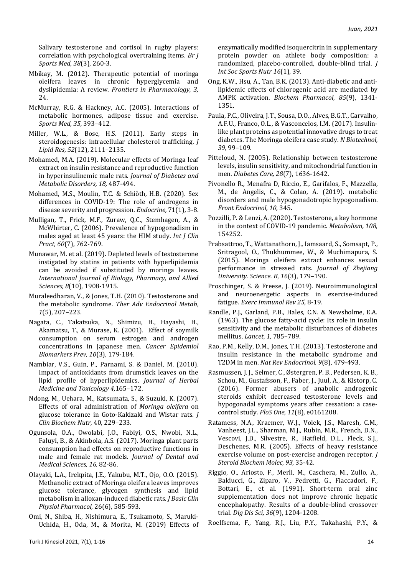Salivary testosterone and cortisol in rugby players: correlation with psychological overtraining items. *Br J Sports Med, 38*(3), 260-3.

- Mbikay, M. (2012). Therapeutic potential of moringa oleifera leaves in chronic hyperglycemia and dyslipidemia: A review. *Frontiers in Pharmacology, 3,* 24.
- McMurray, R.G. & Hackney, A.C. (2005). Interactions of metabolic hormones, adipose tissue and exercise. *Sports Med, 35,* 393–412.
- Miller, W.L., & Bose, H.S. (2011). Early steps in steroidogenesis: intracellular cholesterol trafficking. *J Lipid Res*, *52*(12), 2111–2135.
- Mohamed, M.A. (2019). Molecular effects of Moringa leaf extract on insulin resistance and reproductive function in hyperinsulinemic male rats. *Journal of Diabetes and Metabolic Disorders, 18,* 487-494.
- Mohamed, M.S., Moulin, T.C. & Schiöth, H.B. (2020). Sex differences in COVID-19: The role of androgens in disease severity and progression. *Endocrine,* 71(1), 3-8.
- Mulligan, T., Frick, M.F., Zuraw, Q.C., Stemhagen, A., & McWhirter, C. (2006). Prevalence of hypogonadism in males aged at least 45 years: the HIM study. *Int J Clin Pract, 60*(7), 762-769.
- Munawar, M. et al. (2019). Depleted levels of testosterone instigated by statins in patients with hyperlipidemia can be avoided if substituted by moringa leaves. *International Journal of Biology, Pharmacy, and Allied Sciences, 8*(10), 1908-1915.
- Muraleedharan, V., & Jones, T.H. (2010). Testosterone and the metabolic syndrome. *Ther Adv Endocrinol Metab*, *1*(5), 207–223.
- Nagata, C., Takatsuka, N., Shimizu, H., Hayashi, H., Akamatsu, T., & Murase, K. (2001). Effect of soymilk consumption on serum estrogen and androgen concentrations in Japanese men. *Cancer Epidemiol Biomarkers Prev, 10*(3), 179-184.
- Nambiar, V.S., Guin, P., Parnami, S. & Daniel, M. (2010). Impact of antioxidants from drumstick leaves on the lipid profile of hyperlipidemics. *Journal of Herbal Medicine and Toxicology 4,*165–172.
- Ndong, M., Uehara, M., Katsumata, S., & Suzuki, K. (2007). Effects of oral administration of *Moringa oleifera* on glucose tolerance in Goto-Kakizaki and Wistar rats. *J Clin Biochem Nutr,* 40, 229–233.
- Ogunsola, O.A., Owolabi, J.O., Fabiyi, O.S., Nwobi, N.L., Faluyi, B., & Akinbola, A.S. (2017). Moringa plant parts consumption had effects on reproductive functions in male and female rat models. *Journal of Dental and Medical Sciences, 16,* 82-86.
- Olayaki, L.A., Irekpita, J.E., Yakubu, M.T., Ojo, O.O. (2015). Methanolic extract of Moringa oleifera leaves improves glucose tolerance, glycogen synthesis and lipid metabolism in alloxan-induced diabetic rats. *J Basic Clin Physiol Pharmacol,* 26(6), 585-593.
- Omi, N., Shiba, H., Nishimura, E., Tsukamoto, S., Maruki-Uchida, H., Oda, M., & Morita, M. (2019) Effects of

enzymatically modified isoquercitrin in supplementary protein powder on athlete body composition: a randomized, placebo-controlled, double-blind trial. *J Int Soc Sports Nutr 16*(1)*,* 39.

- Ong, K.W., Hsu, A., Tan, B.K. (2013). Anti-diabetic and antilipidemic effects of chlorogenic acid are mediated by AMPK activation. *Biochem Pharmacol, 85*(9), 1341- 1351.
- Paula, P.C., Oliveira, J.T., Sousa, D.O., Alves, B.G.T., Carvalho, A.F.U., Franco, O.L., & Vasconcelos, I.M. (2017). Insulinlike plant proteins as potential innovative drugs to treat diabetes. The Moringa oleifera case study. *N Biotechnol, 39,* 99–109.
- Pitteloud, N. (2005). Relationship between testosterone levels, insulin sensitivity, and mitochondrial function in men. *Diabetes Care, 28*(7), 1636-1642.
- Pivonello R., Menafra D, Riccio, E., Garifalos, F., Mazzella, M., de Angelis, C., & Colao, A. (2019). metabolic disorders and male hypogonadotropic hypogonadism. *Front Endocrinol, 10,* 345.
- Pozzilli, P. & Lenzi, A. (2020). Testosterone, a key hormone in the context of COVID-19 pandemic. *Metabolism, 108,*  154252.
- Prabsattroo, T., Wattanathorn, J., Iamsaard, S., Somsapt, P., Sritragool, O., Thukhummee, W., & Muchimapura, S. (2015). Moringa oleifera extract enhances sexual performance in stressed rats. *Journal of Zhejiang University. Science. B*, *16*(3), 179–190.
- Proschinger, S. & Freese, J. (2019). Neuroimmunological and neuroenergetic aspects in exercise-induced fatigue. *Exerc Immunol Rev 25,* 8-19.
- Randle, P.J., Garland, P.B., Hales, C.N. & Newsholme, E.A. (1963). The glucose fatty-acid cycle: Its role in insulin sensitivity and the metabolic disturbances of diabetes mellitus. *Lancet, 1,* 785–789.
- Rao, P.M., Kelly, D.M., Jones, T.H. (2013). Testosterone and insulin resistance in the metabolic syndrome and T2DM in men. *Nat Rev Endocrinol, 9*(8), 479-493.
- Rasmussen, J. J., Selmer, C., Østergren, P. B., Pedersen, K. B., Schou, M., Gustafsson, F., Faber, J., Juul, A., & Kistorp, C. (2016). Former abusers of anabolic androgenic steroids exhibit decreased testosterone levels and hypogonadal symptoms years after cessation: a casecontrol study. *PloS One, 11*(8), e0161208.
- Ratamess, N.A., Kraemer, W.J., Volek, J.S., Maresh, C.M., Vanheest, J.L., Sharman, M.J., Rubin, M.R., French, D.N., Vescovi, J.D., Silvestre, R., Hatfield, D.L., Fleck, S.J., Deschenes, M.R. (2005). Effects of heavy resistance exercise volume on post-exercise androgen receptor. *J Steroid Biochem Molec, 93,* 35-42.
- Riggio, O., Ariosto, F., Merli, M., Caschera, M., Zullo, A., Balducci, G., Ziparo, V., Pedretti, G., Fiaccadori, F., Bottari, E., et al. (1991). Short-term oral zinc supplementation does not improve chronic hepatic encephalopathy. Results of a double-blind crossover trial. *Dig Dis Sci, 36*(9), 1204-1208.

Roelfsema, F., Yang, R.J., Liu, P.Y., Takahashi, P.Y., &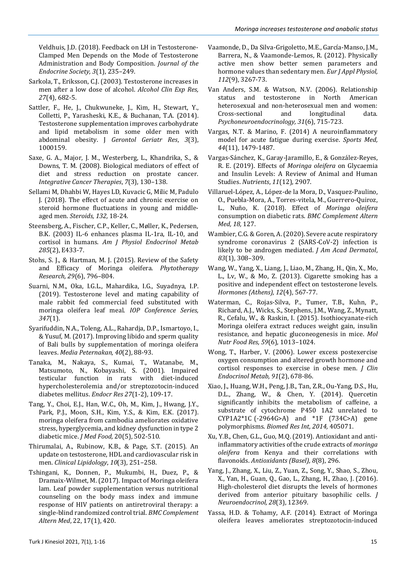Veldhuis, J.D. (2018). Feedback on LH in Testosterone-Clamped Men Depends on the Mode of Testosterone Administration and Body Composition. *Journal of the Endocrine Society, 3*(1), 235–249.

- Sarkola, T., Eriksson, C.J. (2003). Testosterone increases in men after a low dose of alcohol. *Alcohol Clin Exp Res, 27*(4), 682-5.
- Sattler, F., He, J., Chukwuneke, J., Kim, H., Stewart, Y., Colletti, P., Yarasheski, K.E., & Buchanan, T.A. (2014). Testosterone supplementation improves carbohydrate and lipid metabolism in some older men with abdominal obesity. J *Gerontol Geriatr Res*, *3*(3), 1000159.
- Saxe, G. A., Major, J. M., Westerberg, L., Khandrika, S., & Downs, T. M. (2008). Biological mediators of effect of diet and stress reduction on prostate cancer. *Integrative Cancer Therapies*, *7*(3), 130–138.
- Sellami M, Dhahbi W, Hayes LD, Kuvacic G, Milic M, Padulo J. (2018). The effect of acute and chronic exercise on steroid hormone fluctuations in young and middleaged men. *Steroids, 132,* 18-24.
- Steensberg, A., Fischer, C.P., Keller, C., Møller, K., Pedersen, B.K. (2003) IL-6 enhances plasma IL-1ra, IL-10, and cortisol in humans. *Am J Physiol Endocrinol Metab 285*(2), E433-7.
- Stohs, S. J., & Hartman, M. J. (2015). Review of the Safety and Efficacy of Moringa oleifera. *Phytotherapy Research, 29*(6), 796–804.
- Suarni, N.M., Oka, I.G.L., Mahardika, I.G., Suyadnya, I.P. (2019). Testosterone level and mating capability of male rabbit fed commercial feed substituted with moringa oleifera leaf meal. *IOP Conference Series, 347*(1).
- Syarifuddin, N.A., Toleng, A.L., Rahardja, D.P., Ismartoyo, I., & Yusuf, M. (2017). Improving libido and sperm quality of Bali bulls by supplementation of moringa oleifera leaves. *Media Peternakan, 40*(2), 88-93.
- Tanaka, M., Nakaya, S., Kumai, T., Watanabe, M., Matsumoto, N., Kobayashi, S. (2001). Impaired testicular function in rats with diet-induced hypercholesterolemia and/or streptozotocin-induced diabetes mellitus. *Endocr Res 27*(1-2), 109-17.
- Tang, Y., Choi, E.J., Han, W.C., Oh, M., Kim, J., Hwang, J.Y., Park, P.J., Moon, S.H., Kim, Y.S., & Kim, E.K. (2017). moringa oleifera from cambodia ameliorates oxidative stress, hyperglycemia, and kidney dysfunction in type 2 diabetic mice. *J Med Food,* 20(5), 502-510.
- Thirumalai, A., Rubinow, K.B., & Page, S.T. (2015). An update on testosterone, HDL and cardiovascular risk in men. *Clinical Lipidology*, *10*(3), 251–258.
- Tshingani, K., Donnen, P., Mukumbi, H., Duez, P., & Dramaix-Wilmet, M. (2017). Impact of Moringa oleifera lam. Leaf powder supplementation versus nutritional counseling on the body mass index and immune response of HIV patients on antiretroviral therapy: a single-blind randomized control trial. *BMC Complement Altern Med*, 22, 17(1), 420.
- Vaamonde, D., Da Silva-Grigoletto, M.E., García-Manso, J.M., Barrera, N., & Vaamonde-Lemos, R. (2012). Physically active men show better semen parameters and hormone values than sedentary men. *Eur J Appl Physiol, 112*(9), 3267-73.
- Van Anders, S.M. & Watson, N.V. (2006). Relationship status and testosterone in North American heterosexual and non-heterosexual men and women: Cross-sectional and longitudinal data. *Psychoneuroendocrinology, 31*(6), 715-723.
- Vargas, N.T. & Marino, F. (2014) A neuroinflammatory model for acute fatigue during exercise. *Sports Med, 44*(11), 1479-1487.
- Vargas-Sánchez, K., Garay-Jaramillo, E., & González-Reyes, R. E. (2019). Effects of *Moringa oleifera* on Glycaemia and Insulin Levels: A Review of Animal and Human Studies. *Nutrients*, *11*(12), 2907.
- Villaruel-López, A., López-de la Mora, D., Vasquez-Paulino, O., Puebla-Mora, A., Torres-vitela, M., Guerrero-Quiroz, L., Nuño, K. (2018). Effect of *Moringa oleifera* consumption on diabetic rats. *BMC Complement Altern Med, 18,* 127.
- Wambier, C.G. & Goren, A. (2020). Severe acute respiratory syndrome coronavirus 2 (SARS-CoV-2) infection is likely to be androgen mediated. *J Am Acad Dermatol*, *83*(1), 308–309.
- Wang, W., Yang, X., Liang, J., Liao, M., Zhang, H., Qin, X., Mo, L., Lv, W., & Mo, Z. (2013). Cigarette smoking has a positive and independent effect on testosterone levels. *Hormones (Athens), 12*(4), 567-77.
- Waterman, C., Rojas-Silva, P., Tumer, T.B., Kuhn, P., Richard, A.J., Wicks, S., Stephens, J.M., Wang, Z., Mynatt, R., Cefalu, W., & Raskin, I. (2015). Isothiocyanate-rich Moringa oleifera extract reduces weight gain, insulin resistance, and hepatic gluconeogenesis in mice. *Mol Nutr Food Res, 59*(6), 1013–1024.
- Wong, T., Harber, V. (2006). Lower excess postexercise oxygen consumption and altered growth hormone and cortisol responses to exercise in obese men. *J Clin Endocrinol Metab, 91*(2), 678-86.
- Xiao, J., Huang, W.H., Peng, J.B., Tan, Z.R., Ou-Yang, D.S., Hu, D.L., Zhang, W., & Chen, Y. (2014). Quercetin significantly inhibits the metabolism of caffeine, a substrate of cytochrome P450 1A2 unrelated to CYP1A2\*1C  (-2964G>A) and \*1F (734C>A) gene polymorphisms. *Biomed Res Int, 2014,* 405071.
- Xu, Y.B., Chen, G.L., Guo, M.Q. (2019). Antioxidant and antiinflammatory activities of the crude extracts of *moringa oleifera* from Kenya and their correlations with flavonoids. *Antioxidants (Basel), 8*(8), 296.
- Yang, J., Zhang, X., Liu, Z., Yuan, Z., Song, Y., Shao, S., Zhou, X., Yan, H., Guan, Q., Gao, L., Zhang, H., Zhao, J. (2016). High-cholesterol diet disrupts the levels of hormones derived from anterior pituitary basophilic cells. *J Neuroendocrinol, 28*(3), 12369.
- Yassa, H.D. & Tohamy, A.F. (2014). Extract of Moringa oleifera leaves ameliorates streptozotocin-induced